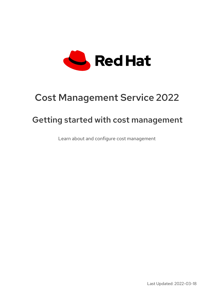

# Cost Management Service 2022

# Getting started with cost management

Learn about and configure cost management

Last Updated: 2022-03-18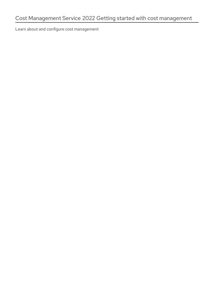Learn about and configure cost management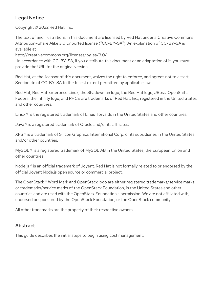### Legal Notice

Copyright © 2022 Red Hat, Inc.

The text of and illustrations in this document are licensed by Red Hat under a Creative Commons Attribution–Share Alike 3.0 Unported license ("CC-BY-SA"). An explanation of CC-BY-SA is available at

http://creativecommons.org/licenses/by-sa/3.0/

. In accordance with CC-BY-SA, if you distribute this document or an adaptation of it, you must provide the URL for the original version.

Red Hat, as the licensor of this document, waives the right to enforce, and agrees not to assert, Section 4d of CC-BY-SA to the fullest extent permitted by applicable law.

Red Hat, Red Hat Enterprise Linux, the Shadowman logo, the Red Hat logo, JBoss, OpenShift, Fedora, the Infinity logo, and RHCE are trademarks of Red Hat, Inc., registered in the United States and other countries.

Linux ® is the registered trademark of Linus Torvalds in the United States and other countries.

Java ® is a registered trademark of Oracle and/or its affiliates.

XFS ® is a trademark of Silicon Graphics International Corp. or its subsidiaries in the United States and/or other countries.

MySQL<sup>®</sup> is a registered trademark of MySQL AB in the United States, the European Union and other countries.

Node.js ® is an official trademark of Joyent. Red Hat is not formally related to or endorsed by the official Joyent Node.js open source or commercial project.

The OpenStack ® Word Mark and OpenStack logo are either registered trademarks/service marks or trademarks/service marks of the OpenStack Foundation, in the United States and other countries and are used with the OpenStack Foundation's permission. We are not affiliated with, endorsed or sponsored by the OpenStack Foundation, or the OpenStack community.

All other trademarks are the property of their respective owners.

### Abstract

This guide describes the initial steps to begin using cost management.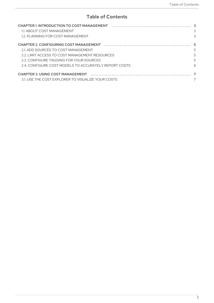## **Table of Contents**

| 1.1. ABOUT COST MANAGEMENT                           | 3 |
|------------------------------------------------------|---|
| 1.2. PLANNING FOR COST MANAGEMENT                    | 3 |
|                                                      |   |
| 2.1. ADD SOURCES TO COST MANAGEMENT                  | 5 |
| 2.2. LIMIT ACCESS TO COST MANAGEMENT RESOURCES       | 5 |
| 2.3. CONFIGURE TAGGING FOR YOUR SOURCES              | 5 |
| 2.4 CONFIGURE COST MODELS TO ACCURATELY REPORT COSTS | 6 |
|                                                      |   |
| 3.1. USE THE COST EXPLORER TO VISUALIZE YOUR COSTS   |   |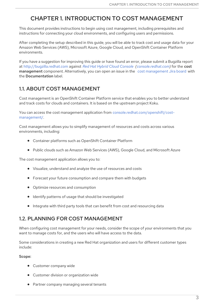# <span id="page-6-0"></span>CHAPTER 1. INTRODUCTION TO COST MANAGEMENT

This document provides instructions to begin using cost management, including prerequisites and instructions for connecting your cloud environments, and configuring users and permissions.

After completing the setup described in this guide, you will be able to track cost and usage data for your Amazon Web Services (AWS), Microsoft Azure, Google Cloud, and OpenShift Container Platform environments.

If you have a suggestion for improving this guide or have found an error, please submit a Bugzilla report at [http://bugzilla.redhat.com](https://bugzilla.redhat.com/enter_bug.cgi?product=Red Hat Hybrid Cloud Console %28console.redhat.com%29) against *Red Hat Hybrid Cloud [Console](https://console.redhat.com) [\(console.redhat.com\)](https://console.redhat.com)* for the cost [management](https://issues.redhat.com/projects/COST/) component. Alternatively, you can open an issue in the cost management Jira board with the Documentation label.

### <span id="page-6-1"></span>1.1. ABOUT COST MANAGEMENT

Cost management is an OpenShift Container Platform service that enables you to better understand and track costs for clouds and containers. It is based on the upstream project Koku.

You can access the cost management application from [console.redhat.com/openshift/cost](https://console.redhat.com/openshift/cost-management/)management/.

Cost management allows you to simplify management of resources and costs across various environments, including:

- Container platforms such as OpenShift Container Platform
- Public clouds such as Amazon Web Services (AWS), Google Cloud, and Microsoft Azure

The cost management application allows you to:

- Visualize, understand and analyze the use of resources and costs
- Forecast your future consumption and compare them with budgets
- Optimize resources and consumption
- Identify patterns of usage that should be investigated
- $\bullet$  Integrate with third party tools that can benefit from cost and resourcing data

### <span id="page-6-2"></span>1.2. PLANNING FOR COST MANAGEMENT

When configuring cost management for your needs, consider the scope of your environments that you want to manage costs for, and the users who will have access to the data.

Some considerations in creating a new Red Hat organization and users for different customer types include:

#### Scope:

- Customer company wide
- Customer division or organization wide
- Partner company managing several tenants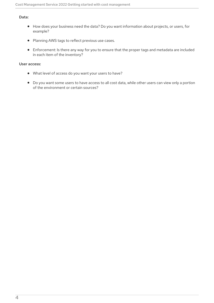#### Data:

- How does your business need the data? Do you want information about projects, or users, for example?
- Planning AWS tags to reflect previous use cases.
- Enforcement: Is there any way for you to ensure that the proper tags and metadata are included in each item of the inventory?

#### User access:

- What level of access do you want your users to have?
- Do you want some users to have access to all cost data, while other users can view only a portion of the environment or certain sources?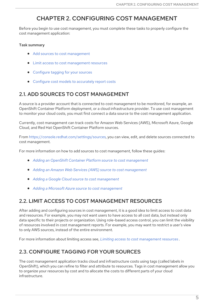## CHAPTER 2. CONFIGURING COST MANAGEMENT

<span id="page-8-0"></span>Before you begin to use cost management, you must complete these tasks to properly configure the cost management application:

#### Task summary

- Add sources to cost [management](#page-8-1)
- $\bullet$  Limit access to cost [management](#page-8-2) resources
- [Configure](#page-9-1) tagging for your sources
- Configure cost models to [accurately](#page-9-0) report costs

### <span id="page-8-1"></span>2.1. ADD SOURCES TO COST MANAGEMENT

A source is a provider account that is connected to cost management to be monitored, for example, an OpenShift Container Platform deployment, or a cloud infrastructure provider. To use cost management to monitor your cloud costs, you must first connect a data source to the cost management application.

Currently, cost management can track costs for Amazon Web Services (AWS), Microsoft Azure, Google Cloud, and Red Hat OpenShift Container Platform sources.

From <https://console.redhat.com/settings/sources>, you can view, edit, and delete sources connected to cost management.

For more information on how to add sources to cost management, follow these guides:

- *Adding an OpenShift Container Platform source to cost [management](https://access.redhat.com/documentation/en-us/cost_management_service/2022/html-single/adding_an_openshift_container_platform_source_to_cost_management/index)*
- *Adding an Amazon Web Services (AWS) source to cost [management](https://access.redhat.com/documentation/en-us/cost_management_service/2022/html-single/adding_an_amazon_web_services_aws_source_to_cost_management/index)*
- *Adding a Google Cloud source to cost [management](https://access.redhat.com/documentation/en-us/cost_management_service/2022/html-single/adding_a_google_cloud_source_to_cost_management/index)*
- *Adding a Microsoft Azure source to cost [management](https://access.redhat.com/documentation/en-us/cost_management_service/2022/html-single/adding_a_microsoft_azure_source_to_cost_management/index)*

### <span id="page-8-2"></span>2.2. LIMIT ACCESS TO COST MANAGEMENT RESOURCES

After adding and configuring sources in cost management, it is a good idea to limit access to cost data and resources. For example, you may not want users to have access to all cost data, but instead only data specific to their projects or organization. Using role-based access control, you can limit the visibility of resources involved in cost management reports. For example, you may want to restrict a user's view to only AWS sources, instead of the entire environment.

For more information about limiting access see, *Limiting access to cost [management](https://access.redhat.com/documentation/en-us/cost_management_service/2022/html-single/limiting_access_to_cost_management_resources/index) resources* .

## <span id="page-8-3"></span>2.3. CONFIGURE TAGGING FOR YOUR SOURCES

The cost management application tracks cloud and infrastructure costs using tags (called labels in OpenShift), which you can refine to filter and attribute to resources. Tags in cost management allow you to organize your resources by cost and to allocate the costs to different parts of your cloud infrastructure.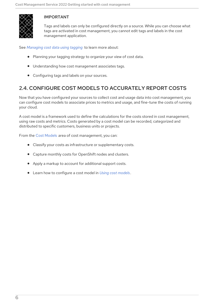<span id="page-9-1"></span>

#### IMPORTANT

Tags and labels can only be configured directly on a source. While you can choose what tags are activated in cost management, you cannot edit tags and labels in the cost management application.

See *[Managing](https://access.redhat.com/documentation/en-us/cost_management_service/2022/html-single/managing_cost_data_using_tagging/index) cost data using tagging* to learn more about:

- Planning your tagging strategy to organize your view of cost data.
- $\bullet$  Understanding how cost management associates tags.
- Configuring tags and labels on your sources.

### <span id="page-9-0"></span>2.4. CONFIGURE COST MODELS TO ACCURATELY REPORT COSTS

Now that you have configured your sources to collect cost and usage data into cost management, you can configure cost models to associate prices to metrics and usage, and fine-tune the costs of running your cloud.

A cost model is a framework used to define the calculations for the costs stored in cost management, using raw costs and metrics. Costs generated by a cost model can be recorded, categorized and distributed to specific customers, business units or projects.

From the Cost [Models](https://console.redhat.com/openshift/cost-management/cost-models) area of cost management, you can:

- Classify your costs as infrastructure or supplementary costs.
- Capture monthly costs for OpenShift nodes and clusters.
- Apply a markup to account for additional support costs.
- Learn how to configure a cost model in *Using cost [models](https://access.redhat.com/documentation/en-us/cost_management_service/2022/html-single/using_cost_models/index)* .